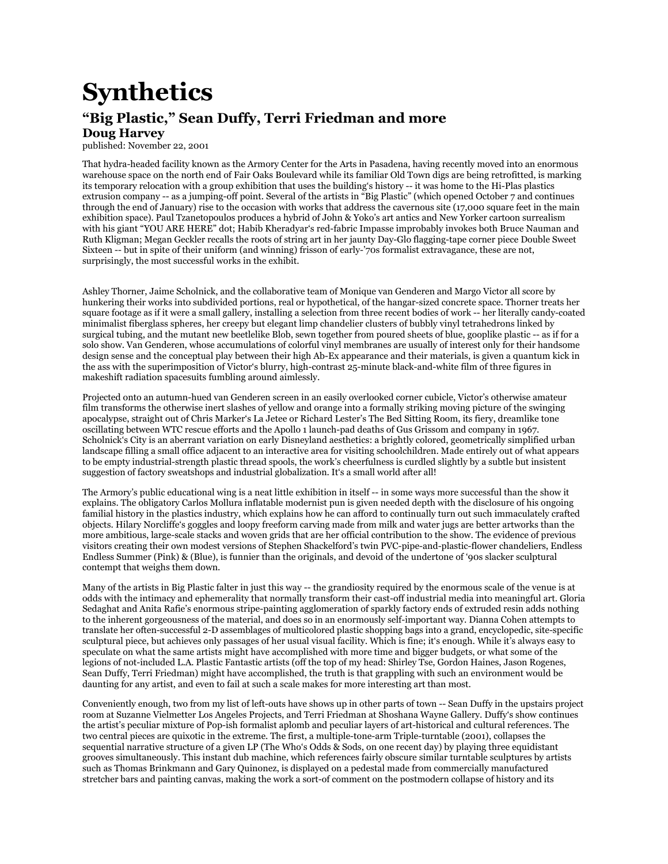## **Synthetics**

## **"Big Plastic," Sean Duffy, Terri Friedman and more**

## **Doug Harvey**

published: November 22, 2001

That hydra-headed facility known as the Armory Center for the Arts in Pasadena, having recently moved into an enormous warehouse space on the north end of Fair Oaks Boulevard while its familiar Old Town digs are being retrofitted, is marking its temporary relocation with a group exhibition that uses the building's history -- it was home to the Hi-Plas plastics extrusion company -- as a jumping-off point. Several of the artists in "Big Plastic" (which opened October 7 and continues through the end of January) rise to the occasion with works that address the cavernous site (17,000 square feet in the main exhibition space). Paul Tzanetopoulos produces a hybrid of John & Yoko's art antics and New Yorker cartoon surrealism with his giant "YOU ARE HERE" dot; Habib Kheradyar's red-fabric Impasse improbably invokes both Bruce Nauman and Ruth Kligman; Megan Geckler recalls the roots of string art in her jaunty Day-Glo flagging-tape corner piece Double Sweet Sixteen -- but in spite of their uniform (and winning) frisson of early-'70s formalist extravagance, these are not, surprisingly, the most successful works in the exhibit.

Ashley Thorner, Jaime Scholnick, and the collaborative team of Monique van Genderen and Margo Victor all score by hunkering their works into subdivided portions, real or hypothetical, of the hangar-sized concrete space. Thorner treats her square footage as if it were a small gallery, installing a selection from three recent bodies of work -- her literally candy-coated minimalist fiberglass spheres, her creepy but elegant limp chandelier clusters of bubbly vinyl tetrahedrons linked by surgical tubing, and the mutant new beetlelike Blob, sewn together from poured sheets of blue, gooplike plastic -- as if for a solo show. Van Genderen, whose accumulations of colorful vinyl membranes are usually of interest only for their handsome design sense and the conceptual play between their high Ab-Ex appearance and their materials, is given a quantum kick in the ass with the superimposition of Victor's blurry, high-contrast 25-minute black-and-white film of three figures in makeshift radiation spacesuits fumbling around aimlessly.

Projected onto an autumn-hued van Genderen screen in an easily overlooked corner cubicle, Victor's otherwise amateur film transforms the otherwise inert slashes of yellow and orange into a formally striking moving picture of the swinging apocalypse, straight out of Chris Marker's La Jetee or Richard Lester's The Bed Sitting Room, its fiery, dreamlike tone oscillating between WTC rescue efforts and the Apollo 1 launch-pad deaths of Gus Grissom and company in 1967. Scholnick's City is an aberrant variation on early Disneyland aesthetics: a brightly colored, geometrically simplified urban landscape filling a small office adjacent to an interactive area for visiting schoolchildren. Made entirely out of what appears to be empty industrial-strength plastic thread spools, the work's cheerfulness is curdled slightly by a subtle but insistent suggestion of factory sweatshops and industrial globalization. It's a small world after all!

The Armory's public educational wing is a neat little exhibition in itself -- in some ways more successful than the show it explains. The obligatory Carlos Mollura inflatable modernist pun is given needed depth with the disclosure of his ongoing familial history in the plastics industry, which explains how he can afford to continually turn out such immaculately crafted objects. Hilary Norcliffe's goggles and loopy freeform carving made from milk and water jugs are better artworks than the more ambitious, large-scale stacks and woven grids that are her official contribution to the show. The evidence of previous visitors creating their own modest versions of Stephen Shackelford's twin PVC-pipe-and-plastic-flower chandeliers, Endless Endless Summer (Pink) & (Blue), is funnier than the originals, and devoid of the undertone of '90s slacker sculptural contempt that weighs them down.

Many of the artists in Big Plastic falter in just this way -- the grandiosity required by the enormous scale of the venue is at odds with the intimacy and ephemerality that normally transform their cast-off industrial media into meaningful art. Gloria Sedaghat and Anita Rafie's enormous stripe-painting agglomeration of sparkly factory ends of extruded resin adds nothing to the inherent gorgeousness of the material, and does so in an enormously self-important way. Dianna Cohen attempts to translate her often-successful 2-D assemblages of multicolored plastic shopping bags into a grand, encyclopedic, site-specific sculptural piece, but achieves only passages of her usual visual facility. Which is fine; it's enough. While it's always easy to speculate on what the same artists might have accomplished with more time and bigger budgets, or what some of the legions of not-included L.A. Plastic Fantastic artists (off the top of my head: Shirley Tse, Gordon Haines, Jason Rogenes, Sean Duffy, Terri Friedman) might have accomplished, the truth is that grappling with such an environment would be daunting for any artist, and even to fail at such a scale makes for more interesting art than most.

Conveniently enough, two from my list of left-outs have shows up in other parts of town -- Sean Duffy in the upstairs project room at Suzanne Vielmetter Los Angeles Projects, and Terri Friedman at Shoshana Wayne Gallery. Duffy's show continues the artist's peculiar mixture of Pop-ish formalist aplomb and peculiar layers of art-historical and cultural references. The two central pieces are quixotic in the extreme. The first, a multiple-tone-arm Triple-turntable (2001), collapses the sequential narrative structure of a given LP (The Who's Odds & Sods, on one recent day) by playing three equidistant grooves simultaneously. This instant dub machine, which references fairly obscure similar turntable sculptures by artists such as Thomas Brinkmann and Gary Quinonez, is displayed on a pedestal made from commercially manufactured stretcher bars and painting canvas, making the work a sort-of comment on the postmodern collapse of history and its